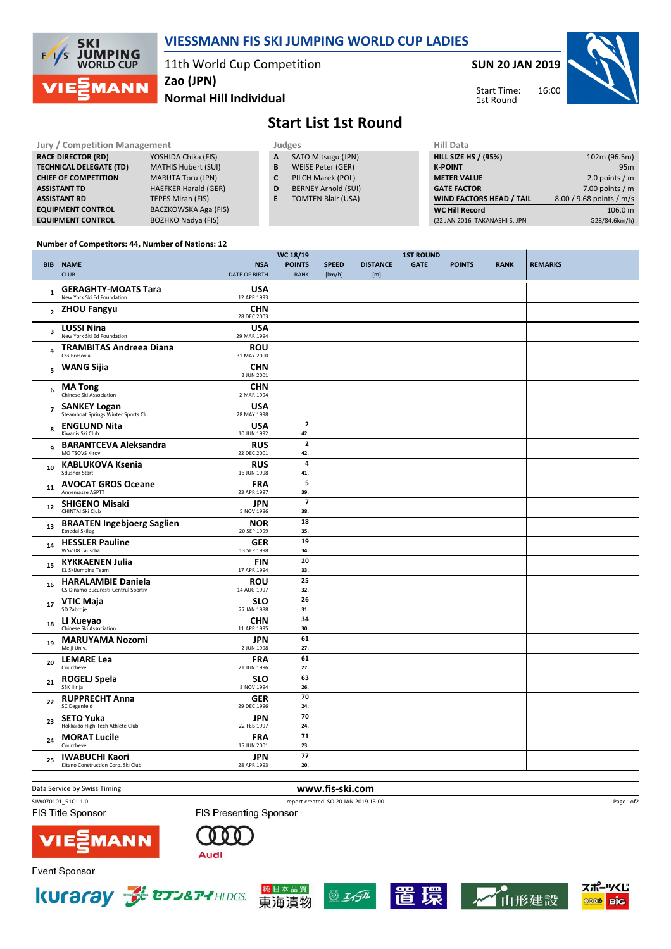

## VIESSMANN FIS SKI JUMPING WORLD CUP LADIES

11th World Cup Competition

SUN 20 JAN 2019

Start Time: 1st Round



Normal Hill Individual Zao (JPN)

## Start List 1st Round

| <b>Jury / Competition Management</b> |                             |              | Judges                     | <b>Hill Data</b>                |                          |  |
|--------------------------------------|-----------------------------|--------------|----------------------------|---------------------------------|--------------------------|--|
| <b>RACE DIRECTOR (RD)</b>            | YOSHIDA Chika (FIS)         | $\mathsf{A}$ | SATO Mitsugu (JPN)         | <b>HILL SIZE HS / (95%)</b>     | 102m (96.5m)             |  |
| <b>TECHNICAL DELEGATE (TD)</b>       | <b>MATHIS Hubert (SUI)</b>  | B            | WEISE Peter (GER)          | <b>K-POINT</b>                  | 95 <sub>m</sub>          |  |
| <b>CHIEF OF COMPETITION</b>          | <b>MARUTA Toru (JPN)</b>    |              | PILCH Marek (POL)          | <b>METER VALUE</b>              | 2.0 points / $m$         |  |
| <b>ASSISTANT TD</b>                  | <b>HAEFKER Harald (GER)</b> | D            | <b>BERNEY Arnold (SUI)</b> | <b>GATE FACTOR</b>              | 7.00 points / $m$        |  |
| <b>ASSISTANT RD</b>                  | TEPES Miran (FIS)           | Е            | <b>TOMTEN Blair (USA)</b>  | <b>WIND FACTORS HEAD / TAIL</b> | 8.00 / 9.68 points / m/s |  |
| <b>EQUIPMENT CONTROL</b>             | BACZKOWSKA Aga (FIS)        |              |                            | <b>WC Hill Record</b>           | 106.0 m                  |  |
| <b>EQUIPMENT CONTROL</b>             | <b>BOZHKO Nadya (FIS)</b>   |              |                            | (22 JAN 2016 TAKANASHI S. JPN   | G28/84.6km/h)            |  |

## Number of Competitors: 44, Number of Nations: 12

|                         |                                                                  |                                    | WC 18/19                     | <b>1ST ROUND</b>       |                        |             |               |             |                |
|-------------------------|------------------------------------------------------------------|------------------------------------|------------------------------|------------------------|------------------------|-------------|---------------|-------------|----------------|
|                         | <b>BIB NAME</b><br><b>CLUB</b>                                   | <b>NSA</b><br><b>DATE OF BIRTH</b> | <b>POINTS</b><br><b>RANK</b> | <b>SPEED</b><br>[km/h] | <b>DISTANCE</b><br>[m] | <b>GATE</b> | <b>POINTS</b> | <b>RANK</b> | <b>REMARKS</b> |
| $\mathbf{1}$            | <b>GERAGHTY-MOATS Tara</b><br>New York Ski Ed Foundation         | <b>USA</b><br>12 APR 1993          |                              |                        |                        |             |               |             |                |
| $\overline{2}$          | <b>ZHOU Fangyu</b>                                               | <b>CHN</b><br>28 DEC 2003          |                              |                        |                        |             |               |             |                |
| $\overline{\mathbf{3}}$ | <b>LUSSI Nina</b><br>New York Ski Ed Foundation                  | <b>USA</b><br>29 MAR 1994          |                              |                        |                        |             |               |             |                |
| 4                       | <b>TRAMBITAS Andreea Diana</b><br>Css Brasovia                   | <b>ROU</b><br>31 MAY 2000          |                              |                        |                        |             |               |             |                |
| 5                       | <b>WANG Sijia</b>                                                | <b>CHN</b><br>2 JUN 2001           |                              |                        |                        |             |               |             |                |
| 6                       | <b>MATong</b><br>Chinese Ski Association                         | <b>CHN</b><br>2 MAR 1994           |                              |                        |                        |             |               |             |                |
| $\overline{7}$          | <b>SANKEY Logan</b><br>Steamboat Springs Winter Sports Clu       | <b>USA</b><br>28 MAY 1998          |                              |                        |                        |             |               |             |                |
| 8                       | <b>ENGLUND Nita</b><br>Kiwanis Ski Club                          | <b>USA</b><br>10 JUN 1992          | $\mathbf{z}$<br>42.          |                        |                        |             |               |             |                |
| 9                       | <b>BARANTCEVA Aleksandra</b><br>MO TSOVS Kirov                   | <b>RUS</b><br>22 DEC 2001          | $\mathbf 2$<br>42.           |                        |                        |             |               |             |                |
| 10                      | <b>KABLUKOVA Ksenia</b><br>Sdushor Start                         | <b>RUS</b><br>16 JUN 1998          | 4<br>41.                     |                        |                        |             |               |             |                |
| 11                      | <b>AVOCAT GROS Oceane</b><br>Annemasse ASPTT                     | <b>FRA</b><br>23 APR 1997          | 5<br>39.                     |                        |                        |             |               |             |                |
| 12                      | <b>SHIGENO Misaki</b><br>CHINTAI Ski Club                        | <b>JPN</b><br>5 NOV 1986           | $\overline{7}$<br>38.        |                        |                        |             |               |             |                |
| 13                      | <b>BRAATEN Ingebjoerg Saglien</b><br><b>Etnedal Skilag</b>       | <b>NOR</b><br>20 SEP 1999          | 18<br>35.                    |                        |                        |             |               |             |                |
| 14                      | <b>HESSLER Pauline</b><br>WSV 08 Lauscha                         | <b>GER</b><br>13 SEP 1998          | 19<br>34.                    |                        |                        |             |               |             |                |
| 15                      | <b>KYKKAENEN Julia</b><br>KL SkiJumping Team                     | <b>FIN</b><br>17 APR 1994          | 20<br>33.                    |                        |                        |             |               |             |                |
| 16                      | <b>HARALAMBIE Daniela</b><br>CS Dinamo Bucuresti-Centrul Sportiv | <b>ROU</b><br>14 AUG 1997          | 25<br>32.                    |                        |                        |             |               |             |                |
| 17                      | <b>VTIC Maja</b><br>SD Zabrdje                                   | <b>SLO</b><br>27 JAN 1988          | 26<br>31.                    |                        |                        |             |               |             |                |
| 18                      | LI Xueyao<br>Chinese Ski Association                             | <b>CHN</b><br>11 APR 1995          | 34<br>30.                    |                        |                        |             |               |             |                |
| 19                      | <b>MARUYAMA Nozomi</b><br>Meiji Univ.                            | <b>JPN</b><br>2 JUN 1998           | 61<br>27.                    |                        |                        |             |               |             |                |
| 20                      | <b>LEMARE Lea</b><br>Courchevel                                  | <b>FRA</b><br>21 JUN 1996          | 61<br>27.                    |                        |                        |             |               |             |                |
| 21                      | <b>ROGELJ Spela</b><br>SSK Ilirija                               | <b>SLO</b><br>8 NOV 1994           | 63<br>26.                    |                        |                        |             |               |             |                |
| 22                      | <b>RUPPRECHT Anna</b><br><b>SC Degenfeld</b>                     | <b>GER</b><br>29 DEC 1996          | 70<br>24.                    |                        |                        |             |               |             |                |
| 23                      | <b>SETO Yuka</b><br>Hokkaido High-Tech Athlete Club              | JPN<br>22 FEB 1997                 | 70<br>24.                    |                        |                        |             |               |             |                |
| 24                      | <b>MORAT Lucile</b><br>Courchevel                                | <b>FRA</b><br>15 JUN 2001          | 71<br>23.                    |                        |                        |             |               |             |                |
| 25                      | <b>IWABUCHI Kaori</b><br>Kitano Construction Corp. Ski Club      | <b>JPN</b><br>28 APR 1993          | 77<br>20.                    |                        |                        |             |               |             |                |

Data Service by Swiss Timing **WWW.fis-ski.com** SJW070101\_51C1 1.0 report created SO 20 JAN 2019 13:00

**FIS Title Sponsor** 

FIS Presenting Sponsor



0 O O Audi

**Event Sponsor** 











Page 1of2